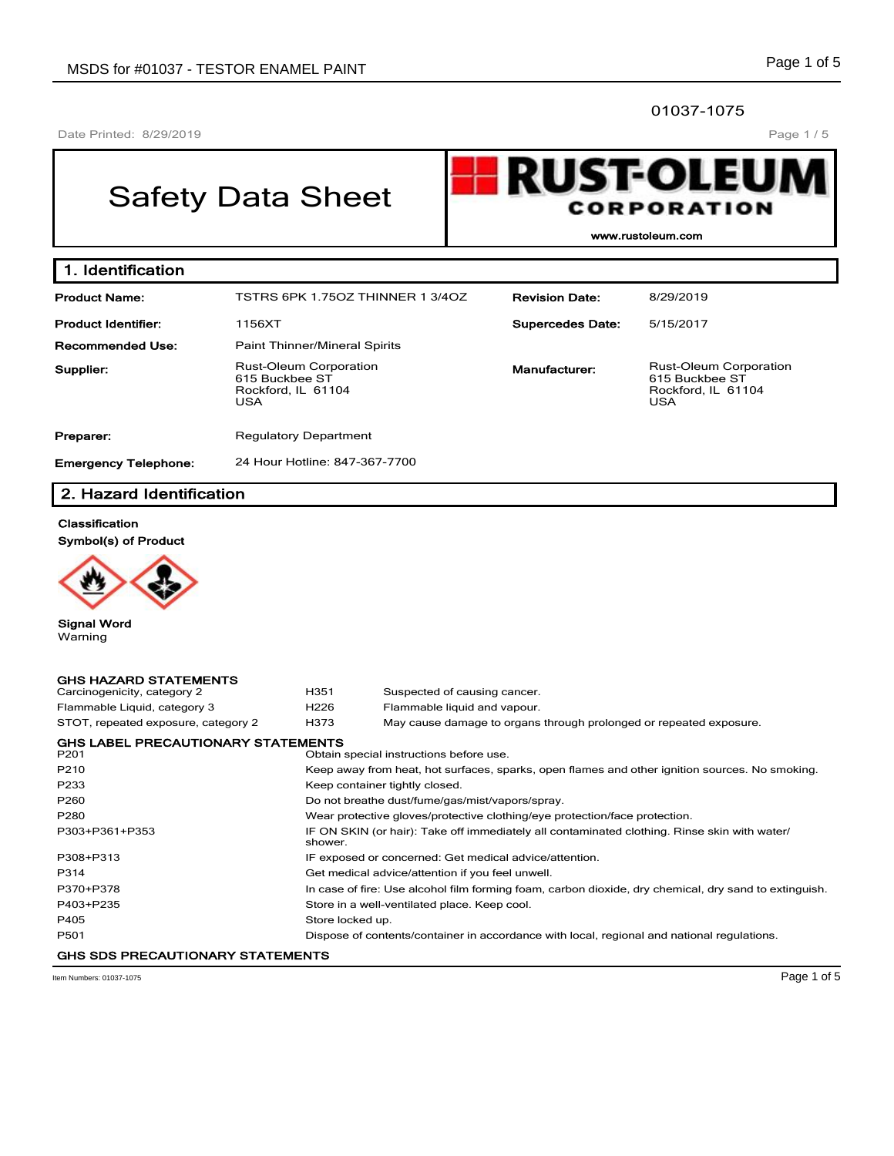# 01037-1075

Date Printed: 8/29/2019

# Page 1 / 5

# Safety Data Sheet



**www.rustoleum.com**

| 1. Identification           |                                                                                     |                         |                                                                                     |
|-----------------------------|-------------------------------------------------------------------------------------|-------------------------|-------------------------------------------------------------------------------------|
| <b>Product Name:</b>        | TSTRS 6PK 1.750Z THINNER 13/40Z                                                     | <b>Revision Date:</b>   | 8/29/2019                                                                           |
| <b>Product Identifier:</b>  | 1156XT                                                                              | <b>Supercedes Date:</b> | 5/15/2017                                                                           |
| Recommended Use:            | <b>Paint Thinner/Mineral Spirits</b>                                                |                         |                                                                                     |
| Supplier:                   | <b>Rust-Oleum Corporation</b><br>615 Buckbee ST<br>Rockford, IL 61104<br><b>USA</b> | Manufacturer:           | <b>Rust-Oleum Corporation</b><br>615 Buckbee ST<br>Rockford, IL 61104<br><b>USA</b> |
| Preparer:                   | <b>Regulatory Department</b>                                                        |                         |                                                                                     |
| <b>Emergency Telephone:</b> | 24 Hour Hotline: 847-367-7700                                                       |                         |                                                                                     |

# **2. Hazard Identification**

# **Classification**

**Symbol(s) of Product**



**Signal Word** Warning

| <b>GHS HAZARD STATEMENTS</b>              |                  |                                                                                                       |
|-------------------------------------------|------------------|-------------------------------------------------------------------------------------------------------|
| Carcinogenicity, category 2               | H351             | Suspected of causing cancer.                                                                          |
| Flammable Liquid, category 3              | H <sub>226</sub> | Flammable liquid and vapour.                                                                          |
| STOT, repeated exposure, category 2       | H373             | May cause damage to organs through prolonged or repeated exposure.                                    |
| <b>GHS LABEL PRECAUTIONARY STATEMENTS</b> |                  |                                                                                                       |
| P <sub>201</sub>                          |                  | Obtain special instructions before use.                                                               |
| P210                                      |                  | Keep away from heat, hot surfaces, sparks, open flames and other ignition sources. No smoking.        |
| P233                                      |                  | Keep container tightly closed.                                                                        |
| P <sub>260</sub>                          |                  | Do not breathe dust/fume/gas/mist/vapors/spray.                                                       |
| P280                                      |                  | Wear protective gloves/protective clothing/eye protection/face protection.                            |
| P303+P361+P353                            | shower.          | IF ON SKIN (or hair): Take off immediately all contaminated clothing. Rinse skin with water/          |
| P308+P313                                 |                  | IF exposed or concerned: Get medical advice/attention.                                                |
| P314                                      |                  | Get medical advice/attention if you feel unwell.                                                      |
| P370+P378                                 |                  | In case of fire: Use alcohol film forming foam, carbon dioxide, dry chemical, dry sand to extinguish. |
| P403+P235                                 |                  | Store in a well-ventilated place. Keep cool.                                                          |
| P405                                      | Store locked up. |                                                                                                       |
| P <sub>501</sub>                          |                  | Dispose of contents/container in accordance with local, regional and national regulations.            |
| <b>GHS SDS PRECAUTIONARY STATEMENTS</b>   |                  |                                                                                                       |

Item Numbers: 01037-1075 Page 1 of 5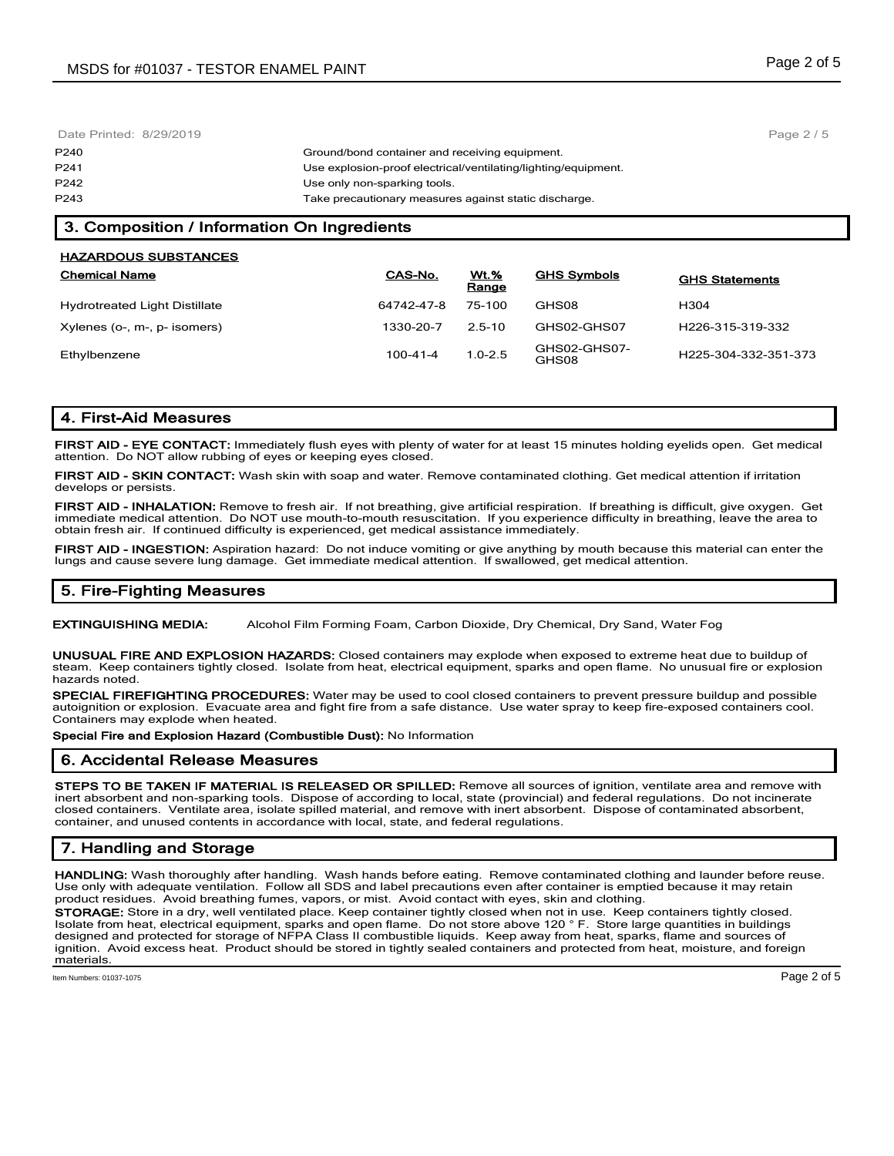| Date Printed: 8/29/2019 |                                                                | Page $2/5$ |
|-------------------------|----------------------------------------------------------------|------------|
| P240                    | Ground/bond container and receiving equipment.                 |            |
| P241                    | Use explosion-proof electrical/ventilating/lighting/equipment. |            |
| P242                    | Use only non-sparking tools.                                   |            |
| P243                    | Take precautionary measures against static discharge.          |            |
|                         |                                                                |            |

# **3. Composition / Information On Ingredients**

| <b>HAZARDOUS SUBSTANCES</b>          |            |               |                       |                                   |
|--------------------------------------|------------|---------------|-----------------------|-----------------------------------|
| <b>Chemical Name</b>                 | CAS-No.    | Wt.%<br>Range | <b>GHS Symbols</b>    | <b>GHS Statements</b>             |
| <b>Hydrotreated Light Distillate</b> | 64742-47-8 | 75-100        | GHS08                 | H <sub>304</sub>                  |
| Xylenes (o-, m-, p- isomers)         | 1330-20-7  | $2.5 - 10$    | GHS02-GHS07           | H226-315-319-332                  |
| Ethylbenzene                         | 100-41-4   | $1.0 - 2.5$   | GHS02-GHS07-<br>GHS08 | H <sub>225</sub> -304-332-351-373 |

# **4. First-Aid Measures**

**FIRST AID - EYE CONTACT:** Immediately flush eyes with plenty of water for at least 15 minutes holding eyelids open. Get medical attention. Do NOT allow rubbing of eyes or keeping eyes closed.

**FIRST AID - SKIN CONTACT:** Wash skin with soap and water. Remove contaminated clothing. Get medical attention if irritation develops or persists.

**FIRST AID - INHALATION:** Remove to fresh air. If not breathing, give artificial respiration. If breathing is difficult, give oxygen. Get immediate medical attention. Do NOT use mouth-to-mouth resuscitation. If you experience difficulty in breathing, leave the area to obtain fresh air. If continued difficulty is experienced, get medical assistance immediately.

**FIRST AID - INGESTION:** Aspiration hazard: Do not induce vomiting or give anything by mouth because this material can enter the lungs and cause severe lung damage. Get immediate medical attention. If swallowed, get medical attention.

# **5. Fire-Fighting Measures**

**EXTINGUISHING MEDIA:** Alcohol Film Forming Foam, Carbon Dioxide, Dry Chemical, Dry Sand, Water Fog

**UNUSUAL FIRE AND EXPLOSION HAZARDS:** Closed containers may explode when exposed to extreme heat due to buildup of steam. Keep containers tightly closed. Isolate from heat, electrical equipment, sparks and open flame. No unusual fire or explosion hazards noted.

**SPECIAL FIREFIGHTING PROCEDURES:** Water may be used to cool closed containers to prevent pressure buildup and possible autoignition or explosion. Evacuate area and fight fire from a safe distance. Use water spray to keep fire-exposed containers cool. Containers may explode when heated.

**Special Fire and Explosion Hazard (Combustible Dust):** No Information

# **6. Accidental Release Measures**

**STEPS TO BE TAKEN IF MATERIAL IS RELEASED OR SPILLED:** Remove all sources of ignition, ventilate area and remove with inert absorbent and non-sparking tools. Dispose of according to local, state (provincial) and federal regulations. Do not incinerate closed containers. Ventilate area, isolate spilled material, and remove with inert absorbent. Dispose of contaminated absorbent, container, and unused contents in accordance with local, state, and federal regulations.

# **7. Handling and Storage**

**HANDLING:** Wash thoroughly after handling. Wash hands before eating. Remove contaminated clothing and launder before reuse. Use only with adequate ventilation. Follow all SDS and label precautions even after container is emptied because it may retain product residues. Avoid breathing fumes, vapors, or mist. Avoid contact with eyes, skin and clothing.

**STORAGE:** Store in a dry, well ventilated place. Keep container tightly closed when not in use. Keep containers tightly closed. Isolate from heat, electrical equipment, sparks and open flame. Do not store above 120 ° F. Store large quantities in buildings designed and protected for storage of NFPA Class II combustible liquids. Keep away from heat, sparks, flame and sources of ignition. Avoid excess heat. Product should be stored in tightly sealed containers and protected from heat, moisture, and foreign materials.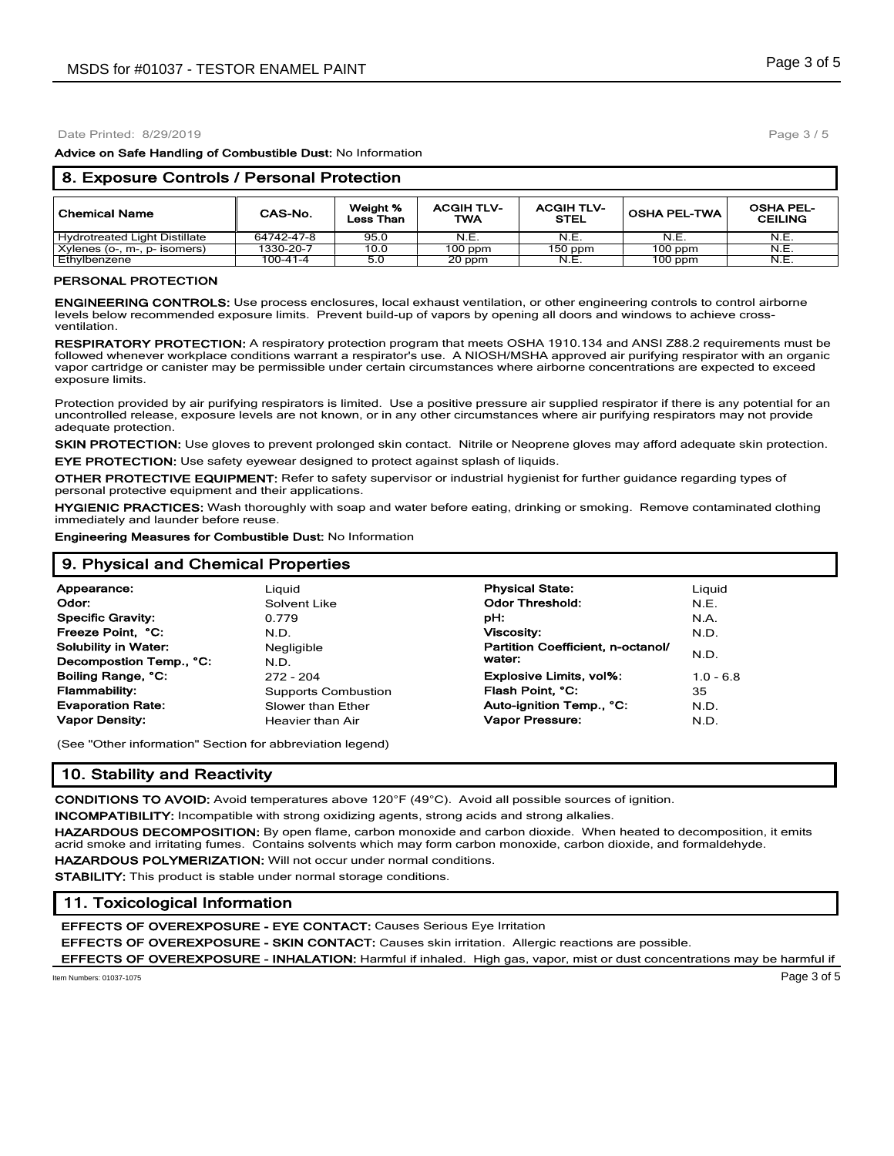Date Printed: 8/29/2019

**Advice on Safe Handling of Combustible Dust:** No Information

| 8. Exposure Controls / Personal Protection |            |                       |                          |                           |                     |                                    |  |
|--------------------------------------------|------------|-----------------------|--------------------------|---------------------------|---------------------|------------------------------------|--|
| <b>Chemical Name</b>                       | CAS-No.    | Weight %<br>Less Than | <b>ACGIH TLV-</b><br>TWA | <b>ACGIH TLV-</b><br>STEL | <b>OSHA PEL-TWA</b> | <b>OSHA PEL-</b><br><b>CEILING</b> |  |
| Hydrotreated Light Distillate              | 64742-47-8 | 95.0                  | N.E.                     | N.E.                      | N.E.                | N.E.                               |  |
| Xylenes (o-, m-, p- isomers)               | 1330-20-7  | 10.0                  | $100$ ppm                | $150$ ppm                 | $100$ ppm           | N.E.                               |  |
| Ethylbenzene                               | 100-41-4   | 5.0                   | 20 ppm                   | N.E.                      | $100$ ppm           | N.E.                               |  |

#### **PERSONAL PROTECTION**

**ENGINEERING CONTROLS:** Use process enclosures, local exhaust ventilation, or other engineering controls to control airborne levels below recommended exposure limits. Prevent build-up of vapors by opening all doors and windows to achieve crossventilation.

**RESPIRATORY PROTECTION:** A respiratory protection program that meets OSHA 1910.134 and ANSI Z88.2 requirements must be followed whenever workplace conditions warrant a respirator's use. A NIOSH/MSHA approved air purifying respirator with an organic vapor cartridge or canister may be permissible under certain circumstances where airborne concentrations are expected to exceed exposure limits.

Protection provided by air purifying respirators is limited. Use a positive pressure air supplied respirator if there is any potential for an uncontrolled release, exposure levels are not known, or in any other circumstances where air purifying respirators may not provide adequate protection.

**SKIN PROTECTION:** Use gloves to prevent prolonged skin contact. Nitrile or Neoprene gloves may afford adequate skin protection. **EYE PROTECTION:** Use safety eyewear designed to protect against splash of liquids.

**OTHER PROTECTIVE EQUIPMENT:** Refer to safety supervisor or industrial hygienist for further guidance regarding types of personal protective equipment and their applications.

**HYGIENIC PRACTICES:** Wash thoroughly with soap and water before eating, drinking or smoking. Remove contaminated clothing immediately and launder before reuse.

**Engineering Measures for Combustible Dust:** No Information

| 9. Physical and Chemical Properties |                            |                                   |             |  |  |
|-------------------------------------|----------------------------|-----------------------------------|-------------|--|--|
| Appearance:                         | Liauid                     | <b>Physical State:</b>            | Liguid      |  |  |
| Odor:                               | Solvent Like               | <b>Odor Threshold:</b>            | N.E.        |  |  |
| <b>Specific Gravity:</b>            | 0.779                      | pH:                               | N.A.        |  |  |
| Freeze Point, °C:                   | N.D.                       | <b>Viscosity:</b>                 | N.D.        |  |  |
| <b>Solubility in Water:</b>         | Negligible                 | Partition Coefficient, n-octanol/ |             |  |  |
| Decompostion Temp., °C:             | N.D.                       | water:                            | N.D.        |  |  |
| Boiling Range, °C:                  | $272 - 204$                | <b>Explosive Limits, vol%:</b>    | $1.0 - 6.8$ |  |  |
| <b>Flammability:</b>                | <b>Supports Combustion</b> | Flash Point, °C:                  | 35          |  |  |
| <b>Evaporation Rate:</b>            | Slower than Ether          | Auto-ignition Temp., °C:          | N.D.        |  |  |
| <b>Vapor Density:</b>               | Heavier than Air           | Vapor Pressure:                   | N.D.        |  |  |

(See "Other information" Section for abbreviation legend)

# **10. Stability and Reactivity**

**CONDITIONS TO AVOID:** Avoid temperatures above 120°F (49°C). Avoid all possible sources of ignition.

**INCOMPATIBILITY:** Incompatible with strong oxidizing agents, strong acids and strong alkalies.

**HAZARDOUS DECOMPOSITION:** By open flame, carbon monoxide and carbon dioxide. When heated to decomposition, it emits acrid smoke and irritating fumes. Contains solvents which may form carbon monoxide, carbon dioxide, and formaldehyde. **HAZARDOUS POLYMERIZATION:** Will not occur under normal conditions.

**STABILITY:** This product is stable under normal storage conditions.

# **11. Toxicological Information**

**EFFECTS OF OVEREXPOSURE - EYE CONTACT:** Causes Serious Eye Irritation

**EFFECTS OF OVEREXPOSURE - SKIN CONTACT:** Causes skin irritation. Allergic reactions are possible.

**EFFECTS OF OVEREXPOSURE - INHALATION:** Harmful if inhaled. High gas, vapor, mist or dust concentrations may be harmful if

Item Numbers: 01037-1075 Page 3 of 5

Page 3 / 5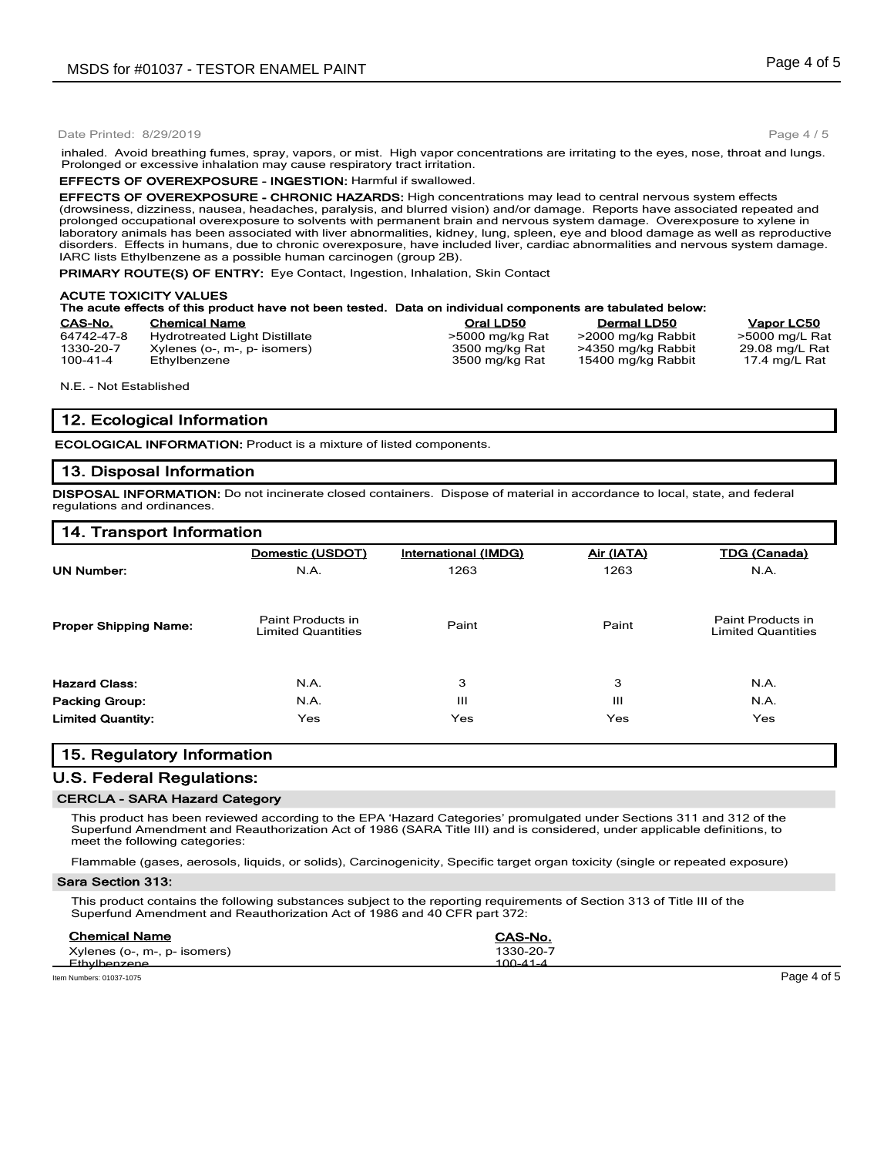#### Date Printed: 8/29/2019

inhaled. Avoid breathing fumes, spray, vapors, or mist. High vapor concentrations are irritating to the eyes, nose, throat and lungs. Prolonged or excessive inhalation may cause respiratory tract irritation.

#### **EFFECTS OF OVEREXPOSURE - INGESTION:** Harmful if swallowed.

**EFFECTS OF OVEREXPOSURE - CHRONIC HAZARDS:** High concentrations may lead to central nervous system effects (drowsiness, dizziness, nausea, headaches, paralysis, and blurred vision) and/or damage. Reports have associated repeated and prolonged occupational overexposure to solvents with permanent brain and nervous system damage. Overexposure to xylene in laboratory animals has been associated with liver abnormalities, kidney, lung, spleen, eye and blood damage as well as reproductive disorders. Effects in humans, due to chronic overexposure, have included liver, cardiac abnormalities and nervous system damage. IARC lists Ethylbenzene as a possible human carcinogen (group 2B).

**PRIMARY ROUTE(S) OF ENTRY:** Eye Contact, Ingestion, Inhalation, Skin Contact

#### **ACUTE TOXICITY VALUES The acute effects of this product have not been tested. Data on individual components are tabulated below: CAS-No. Chemical Name Oral LD50 Dermal LD50 Vapor LC50**

| <b>UAU-190.</b> | <b>CHEILICAL INCHITE</b>             | Vial LDJV       | Dennar LDJV        | vavu Loju      |
|-----------------|--------------------------------------|-----------------|--------------------|----------------|
| 64742-47-8      | <b>Hydrotreated Light Distillate</b> | >5000 mg/kg Rat | >2000 mg/kg Rabbit | >5000 mg/L Rat |
| 1330-20-7       | Xylenes (o-, m-, p- isomers)         | 3500 mg/kg Rat  | >4350 mg/kg Rabbit | 29.08 mg/L Rat |
| 100-41-4        | Ethylbenzene                         | 3500 mg/kg Rat  | 15400 mg/kg Rabbit | 17.4 mg/L Rat  |
|                 |                                      |                 |                    |                |

N.E. - Not Established

## **12. Ecological Information**

**ECOLOGICAL INFORMATION:** Product is a mixture of listed components.

## **13. Disposal Information**

**DISPOSAL INFORMATION:** Do not incinerate closed containers. Dispose of material in accordance to local, state, and federal regulations and ordinances.

## **14. Transport Information**

|                              | Domestic (USDOT)                               | International (IMDG) | Air (IATA) | <b>TDG (Canada)</b>                            |
|------------------------------|------------------------------------------------|----------------------|------------|------------------------------------------------|
| <b>UN Number:</b>            | N.A.                                           | 1263                 | 1263       | N.A.                                           |
| <b>Proper Shipping Name:</b> | Paint Products in<br><b>Limited Quantities</b> | Paint                | Paint      | Paint Products in<br><b>Limited Quantities</b> |
| <b>Hazard Class:</b>         | N.A.                                           | 3                    | 3          | N.A.                                           |
| <b>Packing Group:</b>        | N.A.                                           | Ш                    | Ш          | N.A.                                           |
| <b>Limited Quantity:</b>     | Yes                                            | Yes                  | Yes        | Yes                                            |

## **15. Regulatory Information**

## **U.S. Federal Regulations:**

#### **CERCLA - SARA Hazard Category**

This product has been reviewed according to the EPA 'Hazard Categories' promulgated under Sections 311 and 312 of the Superfund Amendment and Reauthorization Act of 1986 (SARA Title III) and is considered, under applicable definitions, to meet the following categories:

Flammable (gases, aerosols, liquids, or solids), Carcinogenicity, Specific target organ toxicity (single or repeated exposure)

#### **Sara Section 313:**

This product contains the following substances subject to the reporting requirements of Section 313 of Title III of the Superfund Amendment and Reauthorization Act of 1986 and 40 CFR part 372:

| <b>Chemical Name</b>         | CAS-No.   |
|------------------------------|-----------|
| Xylenes (o-, m-, p- isomers) | 1330-20-7 |
| <b>Ethylhenzene</b>          | 100-41-4  |
|                              |           |

Item Numbers: 01037-1075 Page 4 of 5

Page 4 / 5